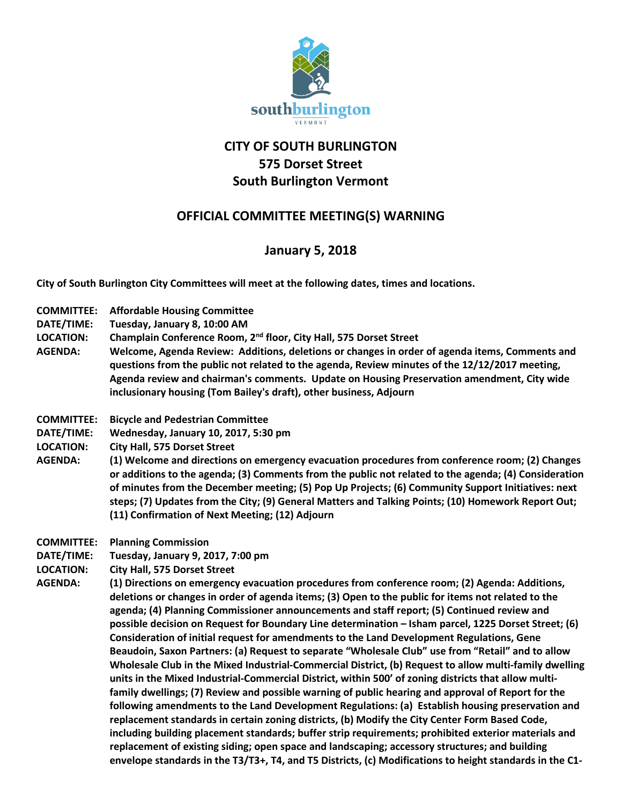

## **CITY OF SOUTH BURLINGTON 575 Dorset Street South Burlington Vermont**

## **OFFICIAL COMMITTEE MEETING(S) WARNING**

## **January 5, 2018**

**City of South Burlington City Committees will meet at the following dates, times and locations.** 

- **COMMITTEE: Affordable Housing Committee**
- **DATE/TIME: Tuesday, January 8, 10:00 AM**
- **LOCATION: Champlain Conference Room, 2nd floor, City Hall, 575 Dorset Street**
- **AGENDA: Welcome, Agenda Review: Additions, deletions or changes in order of agenda items, Comments and questions from the public not related to the agenda, Review minutes of the 12/12/2017 meeting, Agenda review and chairman's comments. Update on Housing Preservation amendment, City wide inclusionary housing (Tom Bailey's draft), other business, Adjourn**
- **COMMITTEE: Bicycle and Pedestrian Committee**
- **DATE/TIME: Wednesday, January 10, 2017, 5:30 pm**
- **LOCATION: City Hall, 575 Dorset Street**
- **AGENDA: (1) Welcome and directions on emergency evacuation procedures from conference room; (2) Changes or additions to the agenda; (3) Comments from the public not related to the agenda; (4) Consideration of minutes from the December meeting; (5) Pop Up Projects; (6) Community Support Initiatives: next steps; (7) Updates from the City; (9) General Matters and Talking Points; (10) Homework Report Out; (11) Confirmation of Next Meeting; (12) Adjourn**
- **COMMITTEE: Planning Commission**
- **DATE/TIME: Tuesday, January 9, 2017, 7:00 pm**
- **LOCATION: City Hall, 575 Dorset Street**
- **AGENDA: (1) Directions on emergency evacuation procedures from conference room; (2) Agenda: Additions, deletions or changes in order of agenda items; (3) Open to the public for items not related to the agenda; (4) Planning Commissioner announcements and staff report; (5) Continued review and possible decision on Request for Boundary Line determination – Isham parcel, 1225 Dorset Street; (6) Consideration of initial request for amendments to the Land Development Regulations, Gene Beaudoin, Saxon Partners: (a) Request to separate "Wholesale Club" use from "Retail" and to allow Wholesale Club in the Mixed Industrial-Commercial District, (b) Request to allow multi-family dwelling units in the Mixed Industrial-Commercial District, within 500' of zoning districts that allow multifamily dwellings; (7) Review and possible warning of public hearing and approval of Report for the following amendments to the Land Development Regulations: (a) Establish housing preservation and replacement standards in certain zoning districts, (b) Modify the City Center Form Based Code, including building placement standards; buffer strip requirements; prohibited exterior materials and replacement of existing siding; open space and landscaping; accessory structures; and building envelope standards in the T3/T3+, T4, and T5 Districts, (c) Modifications to height standards in the C1-**